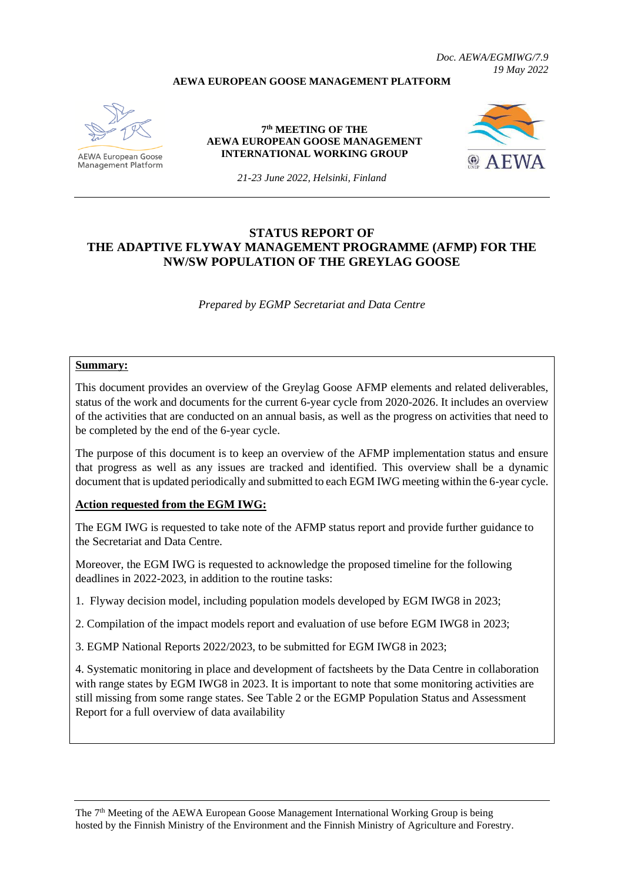## **AEWA EUROPEAN GOOSE MANAGEMENT PLATFORM**



**Management Platform** 

**7 th MEETING OF THE AEWA EUROPEAN GOOSE MANAGEMENT INTERNATIONAL WORKING GROUP**



*19 May 2022*

*Doc. AEWA/EGMIWG/7.9*

*21-23 June 2022, Helsinki, Finland*

# **STATUS REPORT OF THE ADAPTIVE FLYWAY MANAGEMENT PROGRAMME (AFMP) FOR THE NW/SW POPULATION OF THE GREYLAG GOOSE**

*Prepared by EGMP Secretariat and Data Centre*

#### **Summary:**

This document provides an overview of the Greylag Goose AFMP elements and related deliverables, status of the work and documents for the current 6-year cycle from 2020-2026. It includes an overview of the activities that are conducted on an annual basis, as well as the progress on activities that need to be completed by the end of the 6-year cycle.

The purpose of this document is to keep an overview of the AFMP implementation status and ensure that progress as well as any issues are tracked and identified. This overview shall be a dynamic document that is updated periodically and submitted to each EGM IWG meeting within the 6-year cycle.

## **Action requested from the EGM IWG:**

The EGM IWG is requested to take note of the AFMP status report and provide further guidance to the Secretariat and Data Centre.

Moreover, the EGM IWG is requested to acknowledge the proposed timeline for the following deadlines in 2022-2023, in addition to the routine tasks:

1. Flyway decision model, including population models developed by EGM IWG8 in 2023;

2. Compilation of the impact models report and evaluation of use before EGM IWG8 in 2023;

3. EGMP National Reports 2022/2023, to be submitted for EGM IWG8 in 2023;

4. Systematic monitoring in place and development of factsheets by the Data Centre in collaboration with range states by EGM IWG8 in 2023. It is important to note that some monitoring activities are still missing from some range states. See Table 2 or the EGMP Population Status and Assessment Report for a full overview of data availability

The 7<sup>th</sup> Meeting of the AEWA European Goose Management International Working Group is being hosted by the Finnish Ministry of the Environment and the Finnish Ministry of Agriculture and Forestry.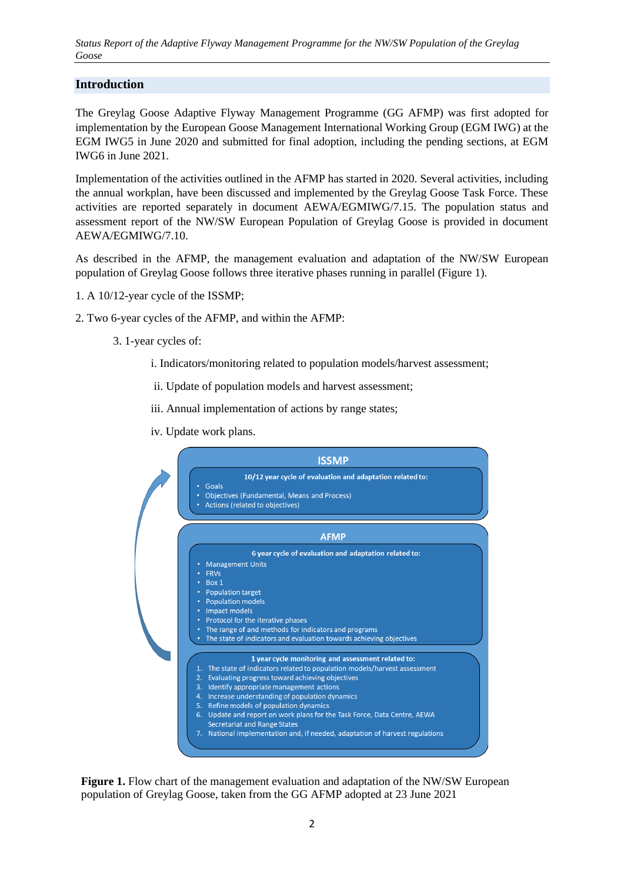*Status Report of the Adaptive Flyway Management Programme for the NW/SW Population of the Greylag Goose*

## **Introduction**

The Greylag Goose Adaptive Flyway Management Programme (GG AFMP) was first adopted for implementation by the European Goose Management International Working Group (EGM IWG) at the EGM IWG5 in June 2020 and submitted for final adoption, including the pending sections, at EGM IWG6 in June 2021.

Implementation of the activities outlined in the AFMP has started in 2020. Several activities, including the annual workplan, have been discussed and implemented by the Greylag Goose Task Force. These activities are reported separately in document AEWA/EGMIWG/7.15. The population status and assessment report of the NW/SW European Population of Greylag Goose is provided in document AEWA/EGMIWG/7.10.

As described in the AFMP, the management evaluation and adaptation of the NW/SW European population of Greylag Goose follows three iterative phases running in parallel (Figure 1).

- 1. A 10/12-year cycle of the ISSMP;
- 2. Two 6-year cycles of the AFMP, and within the AFMP:
	- 3. 1-year cycles of:
		- i. Indicators/monitoring related to population models/harvest assessment;
		- ii. Update of population models and harvest assessment;
		- iii. Annual implementation of actions by range states;
		- iv. Update work plans.



**Figure 1.** Flow chart of the management evaluation and adaptation of the NW/SW European population of Greylag Goose, taken from the GG AFMP adopted at 23 June 2021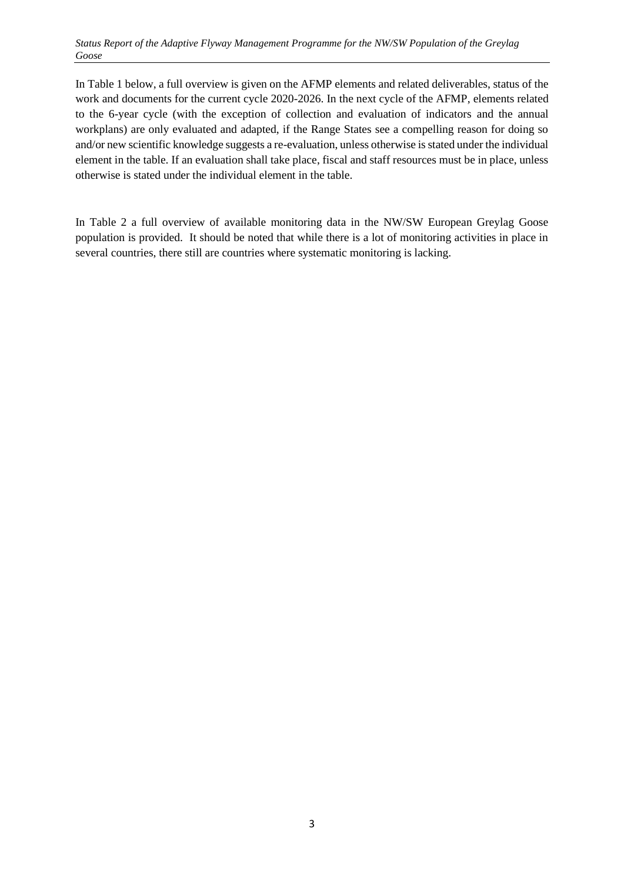In Table 1 below, a full overview is given on the AFMP elements and related deliverables, status of the work and documents for the current cycle 2020-2026. In the next cycle of the AFMP, elements related to the 6-year cycle (with the exception of collection and evaluation of indicators and the annual workplans) are only evaluated and adapted, if the Range States see a compelling reason for doing so and/or new scientific knowledge suggests a re-evaluation, unless otherwise is stated under the individual element in the table. If an evaluation shall take place, fiscal and staff resources must be in place, unless otherwise is stated under the individual element in the table.

In Table 2 a full overview of available monitoring data in the NW/SW European Greylag Goose population is provided. It should be noted that while there is a lot of monitoring activities in place in several countries, there still are countries where systematic monitoring is lacking.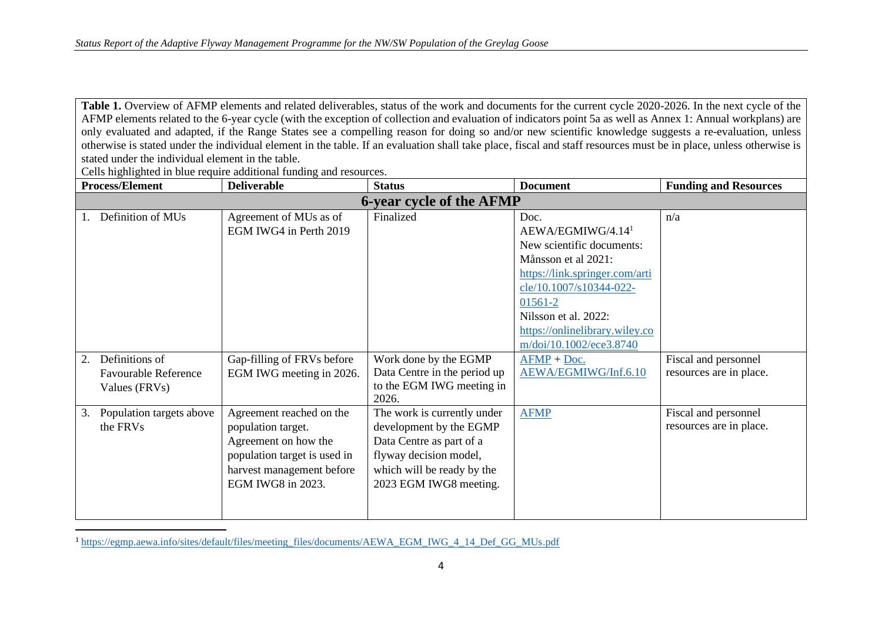Table 1. Overview of AFMP elements and related deliverables, status of the work and documents for the current cycle 2020-2026. In the next cycle of the AFMP elements related to the 6-year cycle (with the exception of collection and evaluation of indicators point 5a as well as Annex 1: Annual workplans) are only evaluated and adapted, if the Range States see a compelling reason for doing so and/or new scientific knowledge suggests a re-evaluation, unless otherwise is stated under the individual element in the table. If an evaluation shall take place, fiscal and staff resources must be in place, unless otherwise is stated under the individual element in the table.

Cells highlighted in blue require additional funding and resources.

| <b>Process/Element</b>                                               | <b>Deliverable</b>                                                                                                                                       | <b>Status</b>                                                                                                                                                        | <b>Document</b>                                                                                                                                                                                                                                        | <b>Funding and Resources</b>                    |  |  |  |  |
|----------------------------------------------------------------------|----------------------------------------------------------------------------------------------------------------------------------------------------------|----------------------------------------------------------------------------------------------------------------------------------------------------------------------|--------------------------------------------------------------------------------------------------------------------------------------------------------------------------------------------------------------------------------------------------------|-------------------------------------------------|--|--|--|--|
| <b>6-year cycle of the AFMP</b>                                      |                                                                                                                                                          |                                                                                                                                                                      |                                                                                                                                                                                                                                                        |                                                 |  |  |  |  |
| Definition of MUs                                                    | Agreement of MUs as of<br>EGM IWG4 in Perth 2019                                                                                                         | Finalized                                                                                                                                                            | Doc.<br>AEWA/EGMIWG/4.14 <sup>1</sup><br>New scientific documents:<br>Månsson et al 2021:<br>https://link.springer.com/arti<br>cle/10.1007/s10344-022-<br>01561-2<br>Nilsson et al. 2022:<br>https://onlinelibrary.wiley.co<br>m/doi/10.1002/ece3.8740 | n/a                                             |  |  |  |  |
| Definitions of<br>2.<br><b>Favourable Reference</b><br>Values (FRVs) | Gap-filling of FRVs before<br>EGM IWG meeting in 2026.                                                                                                   | Work done by the EGMP<br>Data Centre in the period up<br>to the EGM IWG meeting in<br>2026.                                                                          | $AFMP + Doc.$<br>AEWA/EGMIWG/Inf.6.10                                                                                                                                                                                                                  | Fiscal and personnel<br>resources are in place. |  |  |  |  |
| Population targets above<br>3.<br>the FRVs                           | Agreement reached on the<br>population target.<br>Agreement on how the<br>population target is used in<br>harvest management before<br>EGM IWG8 in 2023. | The work is currently under<br>development by the EGMP<br>Data Centre as part of a<br>flyway decision model,<br>which will be ready by the<br>2023 EGM IWG8 meeting. | <b>AFMP</b>                                                                                                                                                                                                                                            | Fiscal and personnel<br>resources are in place. |  |  |  |  |

<sup>1</sup> [https://egmp.aewa.info/sites/default/files/meeting\\_files/documents/AEWA\\_EGM\\_IWG\\_4\\_14\\_Def\\_GG\\_MUs.pdf](https://egmp.aewa.info/sites/default/files/meeting_files/documents/AEWA_EGM_IWG_4_14_Def_GG_MUs.pdf)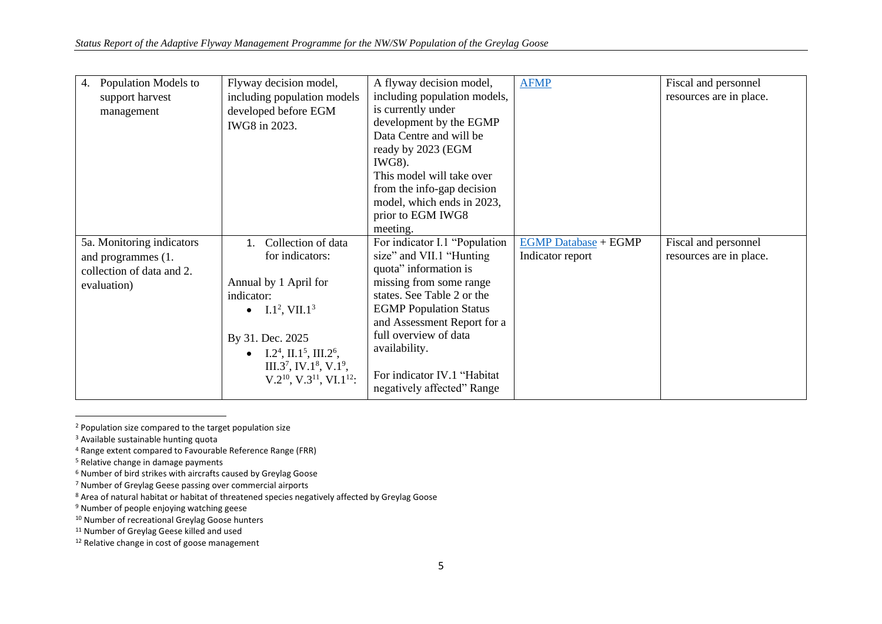| Fiscal and personnel    |
|-------------------------|
| resources are in place. |
|                         |
|                         |
|                         |
|                         |
|                         |
|                         |
|                         |
|                         |
|                         |
|                         |
| Fiscal and personnel    |
| resources are in place. |
|                         |
|                         |
|                         |
|                         |
|                         |
|                         |
|                         |
|                         |
|                         |
|                         |
|                         |
|                         |

<sup>2</sup> Population size compared to the target population size

<sup>&</sup>lt;sup>3</sup> Available sustainable hunting quota

<sup>4</sup> Range extent compared to Favourable Reference Range (FRR)

<sup>&</sup>lt;sup>5</sup> Relative change in damage payments

<sup>6</sup> Number of bird strikes with aircrafts caused by Greylag Goose

<sup>7</sup> Number of Greylag Geese passing over commercial airports

<sup>&</sup>lt;sup>8</sup> Area of natural habitat or habitat of threatened species negatively affected by Greylag Goose

<sup>&</sup>lt;sup>9</sup> Number of people enjoying watching geese

<sup>10</sup> Number of recreational Greylag Goose hunters

<sup>&</sup>lt;sup>11</sup> Number of Greylag Geese killed and used

<sup>&</sup>lt;sup>12</sup> Relative change in cost of goose management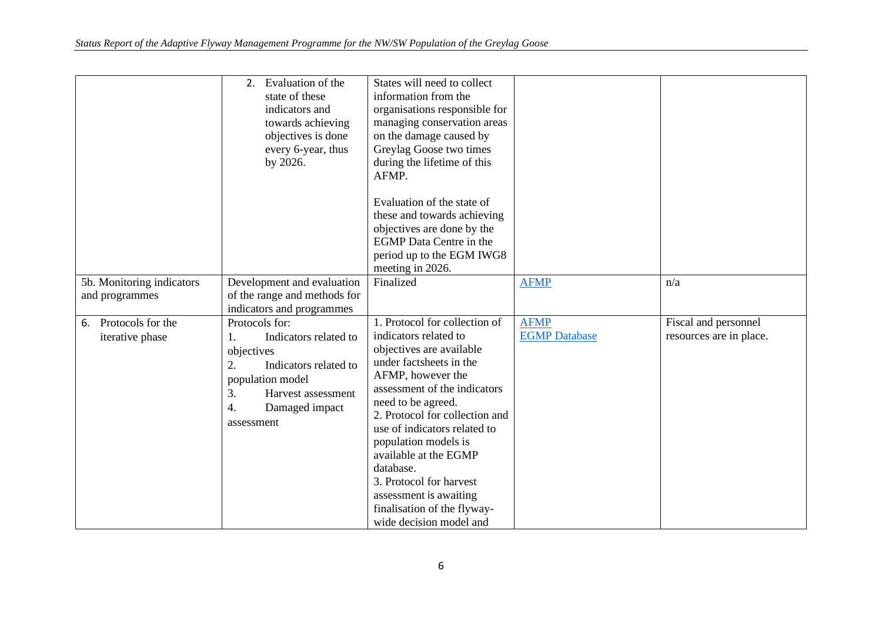| 5b. Monitoring indicators<br>and programmes | 2. Evaluation of the<br>state of these<br>indicators and<br>towards achieving<br>objectives is done<br>every 6-year, thus<br>by 2026.<br>Development and evaluation<br>of the range and methods for | States will need to collect<br>information from the<br>organisations responsible for<br>managing conservation areas<br>on the damage caused by<br>Greylag Goose two times<br>during the lifetime of this<br>AFMP.<br>Evaluation of the state of<br>these and towards achieving<br>objectives are done by the<br><b>EGMP</b> Data Centre in the<br>period up to the EGM IWG8<br>meeting in 2026.<br>Finalized                            | <b>AFMP</b>                         | n/a                                             |
|---------------------------------------------|-----------------------------------------------------------------------------------------------------------------------------------------------------------------------------------------------------|-----------------------------------------------------------------------------------------------------------------------------------------------------------------------------------------------------------------------------------------------------------------------------------------------------------------------------------------------------------------------------------------------------------------------------------------|-------------------------------------|-------------------------------------------------|
|                                             | indicators and programmes                                                                                                                                                                           |                                                                                                                                                                                                                                                                                                                                                                                                                                         |                                     |                                                 |
| 6. Protocols for the<br>iterative phase     | Protocols for:<br>Indicators related to<br>1.<br>objectives<br>2.<br>Indicators related to<br>population model<br>3.<br>Harvest assessment<br>4.<br>Damaged impact<br>assessment                    | 1. Protocol for collection of<br>indicators related to<br>objectives are available<br>under factsheets in the<br>AFMP, however the<br>assessment of the indicators<br>need to be agreed.<br>2. Protocol for collection and<br>use of indicators related to<br>population models is<br>available at the EGMP<br>database.<br>3. Protocol for harvest<br>assessment is awaiting<br>finalisation of the flyway-<br>wide decision model and | <b>AFMP</b><br><b>EGMP</b> Database | Fiscal and personnel<br>resources are in place. |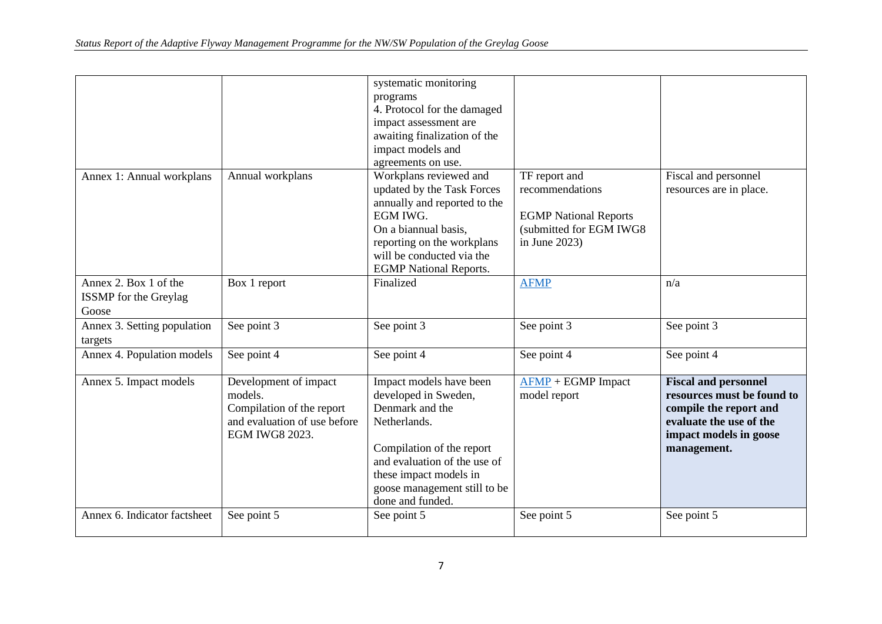|                                                                |                                                                                                                 | systematic monitoring<br>programs<br>4. Protocol for the damaged<br>impact assessment are<br>awaiting finalization of the<br>impact models and<br>agreements on use.                                                          |                                                                                                                 |                                                                                                                                                         |
|----------------------------------------------------------------|-----------------------------------------------------------------------------------------------------------------|-------------------------------------------------------------------------------------------------------------------------------------------------------------------------------------------------------------------------------|-----------------------------------------------------------------------------------------------------------------|---------------------------------------------------------------------------------------------------------------------------------------------------------|
| Annex 1: Annual workplans                                      | Annual workplans                                                                                                | Workplans reviewed and<br>updated by the Task Forces<br>annually and reported to the<br>EGM IWG.<br>On a biannual basis,<br>reporting on the workplans<br>will be conducted via the<br><b>EGMP</b> National Reports.          | TF report and<br>recommendations<br><b>EGMP National Reports</b><br>(submitted for EGM IWG8<br>in June $2023$ ) | Fiscal and personnel<br>resources are in place.                                                                                                         |
| Annex 2. Box 1 of the<br><b>ISSMP</b> for the Greylag<br>Goose | Box 1 report                                                                                                    | Finalized                                                                                                                                                                                                                     | <b>AFMP</b>                                                                                                     | n/a                                                                                                                                                     |
| Annex 3. Setting population<br>targets                         | See point 3                                                                                                     | See point 3                                                                                                                                                                                                                   | See point 3                                                                                                     | See point 3                                                                                                                                             |
| Annex 4. Population models                                     | See point 4                                                                                                     | See point 4                                                                                                                                                                                                                   | See point 4                                                                                                     | See point 4                                                                                                                                             |
| Annex 5. Impact models                                         | Development of impact<br>models.<br>Compilation of the report<br>and evaluation of use before<br>EGM IWG8 2023. | Impact models have been<br>developed in Sweden,<br>Denmark and the<br>Netherlands.<br>Compilation of the report<br>and evaluation of the use of<br>these impact models in<br>goose management still to be<br>done and funded. | $\overline{\text{AFMP}}$ + EGMP Impact<br>model report                                                          | <b>Fiscal and personnel</b><br>resources must be found to<br>compile the report and<br>evaluate the use of the<br>impact models in goose<br>management. |
| Annex 6. Indicator factsheet                                   | See point 5                                                                                                     | See point 5                                                                                                                                                                                                                   | See point 5                                                                                                     | See point 5                                                                                                                                             |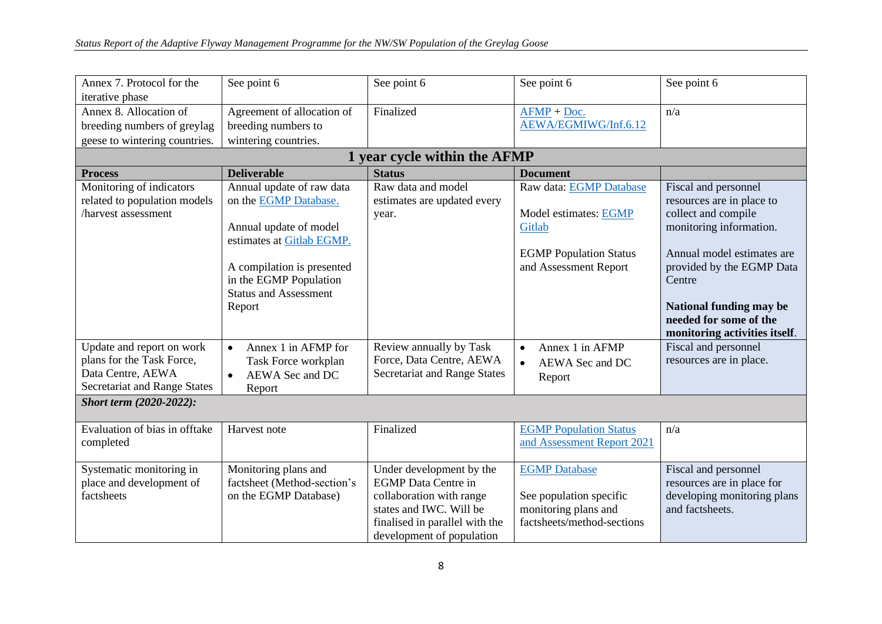| Annex 7. Protocol for the                                                | See point 6                      | See point 6                    | See point 6                   | See point 6                   |  |  |  |  |  |
|--------------------------------------------------------------------------|----------------------------------|--------------------------------|-------------------------------|-------------------------------|--|--|--|--|--|
| iterative phase                                                          |                                  |                                |                               |                               |  |  |  |  |  |
| Annex 8. Allocation of                                                   | Agreement of allocation of       | Finalized                      | $AFMP + Doc.$                 | n/a                           |  |  |  |  |  |
| breeding numbers of greylag                                              | breeding numbers to              |                                | AEWA/EGMIWG/Inf.6.12          |                               |  |  |  |  |  |
| geese to wintering countries.                                            | wintering countries.             |                                |                               |                               |  |  |  |  |  |
| 1 year cycle within the AFMP                                             |                                  |                                |                               |                               |  |  |  |  |  |
| <b>Deliverable</b><br><b>Status</b><br><b>Document</b><br><b>Process</b> |                                  |                                |                               |                               |  |  |  |  |  |
| Monitoring of indicators                                                 | Annual update of raw data        | Raw data and model             | Raw data: EGMP Database       | Fiscal and personnel          |  |  |  |  |  |
| related to population models                                             | on the EGMP Database.            | estimates are updated every    |                               | resources are in place to     |  |  |  |  |  |
| harvest assessment                                                       |                                  | year.                          | Model estimates: EGMP         | collect and compile           |  |  |  |  |  |
|                                                                          | Annual update of model           |                                | Gitlab                        | monitoring information.       |  |  |  |  |  |
|                                                                          | estimates at Gitlab EGMP.        |                                |                               |                               |  |  |  |  |  |
|                                                                          |                                  |                                | <b>EGMP</b> Population Status | Annual model estimates are    |  |  |  |  |  |
|                                                                          | A compilation is presented       |                                | and Assessment Report         | provided by the EGMP Data     |  |  |  |  |  |
|                                                                          | in the EGMP Population           |                                |                               | Centre                        |  |  |  |  |  |
|                                                                          | <b>Status and Assessment</b>     |                                |                               |                               |  |  |  |  |  |
|                                                                          | Report                           |                                |                               | National funding may be       |  |  |  |  |  |
|                                                                          |                                  |                                |                               | needed for some of the        |  |  |  |  |  |
|                                                                          |                                  |                                |                               | monitoring activities itself. |  |  |  |  |  |
| Update and report on work                                                | Annex 1 in AFMP for<br>$\bullet$ | Review annually by Task        | Annex 1 in AFMP<br>$\bullet$  | Fiscal and personnel          |  |  |  |  |  |
| plans for the Task Force,                                                | Task Force workplan              | Force, Data Centre, AEWA       | AEWA Sec and DC<br>$\bullet$  | resources are in place.       |  |  |  |  |  |
| Data Centre, AEWA                                                        | AEWA Sec and DC<br>$\bullet$     | Secretariat and Range States   | Report                        |                               |  |  |  |  |  |
| Secretariat and Range States                                             | Report                           |                                |                               |                               |  |  |  |  |  |
| Short term (2020-2022):                                                  |                                  |                                |                               |                               |  |  |  |  |  |
| Evaluation of bias in offtake                                            | Harvest note                     | Finalized                      | <b>EGMP</b> Population Status | n/a                           |  |  |  |  |  |
| completed                                                                |                                  |                                | and Assessment Report 2021    |                               |  |  |  |  |  |
|                                                                          |                                  |                                |                               |                               |  |  |  |  |  |
| Systematic monitoring in                                                 | Monitoring plans and             | Under development by the       | <b>EGMP</b> Database          | Fiscal and personnel          |  |  |  |  |  |
| place and development of                                                 | factsheet (Method-section's      | <b>EGMP</b> Data Centre in     |                               | resources are in place for    |  |  |  |  |  |
| factsheets                                                               | on the EGMP Database)            | collaboration with range       | See population specific       | developing monitoring plans   |  |  |  |  |  |
|                                                                          |                                  | states and IWC. Will be        | monitoring plans and          | and factsheets.               |  |  |  |  |  |
|                                                                          |                                  | finalised in parallel with the | factsheets/method-sections    |                               |  |  |  |  |  |
|                                                                          |                                  | development of population      |                               |                               |  |  |  |  |  |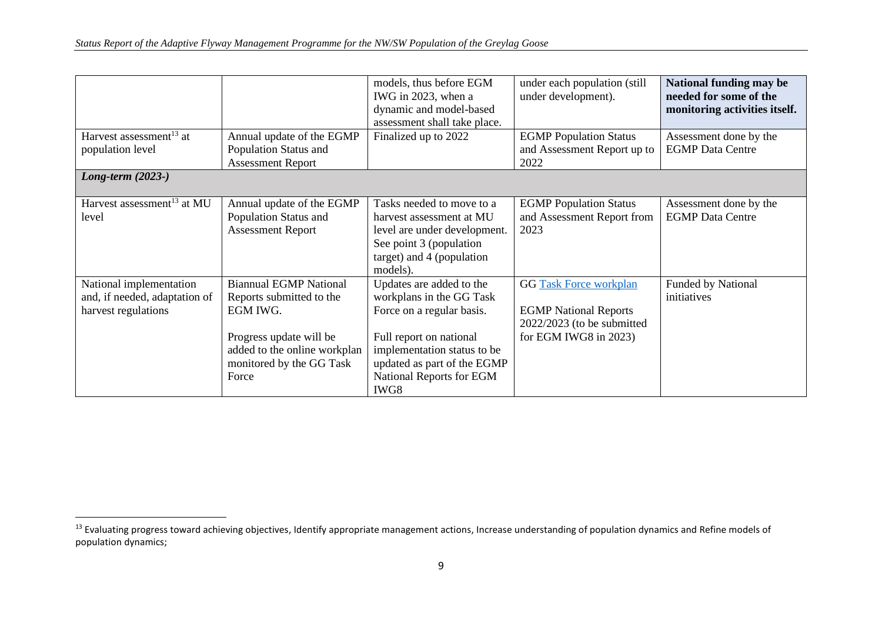|                                                         |                                                    | models, thus before EGM<br>IWG in 2023, when a<br>dynamic and model-based<br>assessment shall take place. | under each population (still<br>under development).          | National funding may be<br>needed for some of the<br>monitoring activities itself. |
|---------------------------------------------------------|----------------------------------------------------|-----------------------------------------------------------------------------------------------------------|--------------------------------------------------------------|------------------------------------------------------------------------------------|
| Harvest assessment <sup>13</sup> at<br>population level | Annual update of the EGMP<br>Population Status and | Finalized up to 2022                                                                                      | <b>EGMP</b> Population Status<br>and Assessment Report up to | Assessment done by the<br><b>EGMP</b> Data Centre                                  |
|                                                         | <b>Assessment Report</b>                           |                                                                                                           | 2022                                                         |                                                                                    |
| Long-term $(2023-)$                                     |                                                    |                                                                                                           |                                                              |                                                                                    |
|                                                         |                                                    |                                                                                                           |                                                              |                                                                                    |
| Harvest assessment <sup>13</sup> at MU                  | Annual update of the EGMP                          | Tasks needed to move to a                                                                                 | <b>EGMP</b> Population Status                                | Assessment done by the                                                             |
| level                                                   | Population Status and                              | harvest assessment at MU                                                                                  | and Assessment Report from                                   | <b>EGMP</b> Data Centre                                                            |
|                                                         | <b>Assessment Report</b>                           | level are under development.                                                                              | 2023                                                         |                                                                                    |
|                                                         |                                                    | See point 3 (population                                                                                   |                                                              |                                                                                    |
|                                                         |                                                    | target) and 4 (population                                                                                 |                                                              |                                                                                    |
|                                                         |                                                    | models).                                                                                                  |                                                              |                                                                                    |
| National implementation                                 | <b>Biannual EGMP National</b>                      | Updates are added to the                                                                                  | <b>GG</b> Task Force workplan                                | <b>Funded by National</b>                                                          |
| and, if needed, adaptation of                           | Reports submitted to the                           | workplans in the GG Task                                                                                  |                                                              | initiatives                                                                        |
| harvest regulations                                     | EGM IWG.                                           | Force on a regular basis.                                                                                 | <b>EGMP National Reports</b>                                 |                                                                                    |
|                                                         |                                                    |                                                                                                           | $2022/2023$ (to be submitted                                 |                                                                                    |
|                                                         | Progress update will be                            | Full report on national                                                                                   | for EGM IWG8 in 2023)                                        |                                                                                    |
|                                                         | added to the online workplan                       | implementation status to be                                                                               |                                                              |                                                                                    |
|                                                         | monitored by the GG Task                           | updated as part of the EGMP                                                                               |                                                              |                                                                                    |
|                                                         | Force                                              | National Reports for EGM                                                                                  |                                                              |                                                                                    |
|                                                         |                                                    | IWG8                                                                                                      |                                                              |                                                                                    |

<sup>&</sup>lt;sup>13</sup> Evaluating progress toward achieving objectives, Identify appropriate management actions, Increase understanding of population dynamics and Refine models of population dynamics;